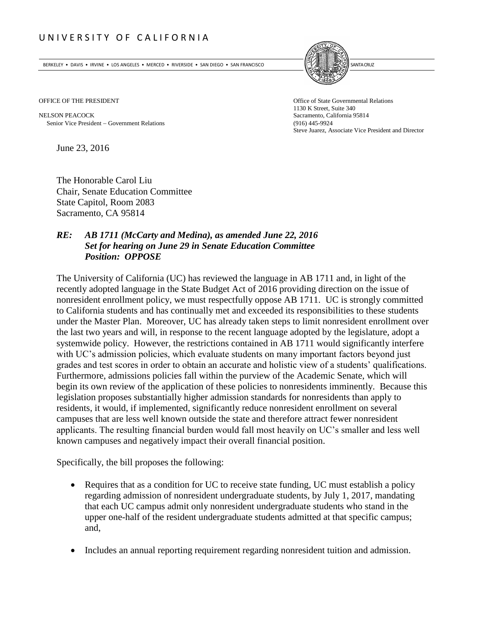## U N I V E R S I T Y O F C A L I F O R N I A

BERKELEY • DAVIS • IRVINE • LOS ANGELES • MERCED • RIVERSIDE • SAN DIEGO • SAN FRANCISCO SANTA GRUZ SANTA CRUZ



OFFICE OF THE PRESIDENT **Office of State Governmental Relations** 

NELSON PEACOCK<br>
Sacramento, California 95814<br>
Senior Vice President – Government Relations<br>
(916) 445-9924<br>
(916) 445-9924 Senior Vice President – Government Relations

1130 K Street, Suite 340 Steve Juarez, Associate Vice President and Director

June 23, 2016

The Honorable Carol Liu Chair, Senate Education Committee State Capitol, Room 2083 Sacramento, CA 95814

## *RE: AB 1711 (McCarty and Medina), as amended June 22, 2016 Set for hearing on June 29 in Senate Education Committee Position: OPPOSE*

The University of California (UC) has reviewed the language in AB 1711 and, in light of the recently adopted language in the State Budget Act of 2016 providing direction on the issue of nonresident enrollment policy, we must respectfully oppose AB 1711. UC is strongly committed to California students and has continually met and exceeded its responsibilities to these students under the Master Plan. Moreover, UC has already taken steps to limit nonresident enrollment over the last two years and will, in response to the recent language adopted by the legislature, adopt a systemwide policy. However, the restrictions contained in AB 1711 would significantly interfere with UC's admission policies, which evaluate students on many important factors beyond just grades and test scores in order to obtain an accurate and holistic view of a students' qualifications. Furthermore, admissions policies fall within the purview of the Academic Senate, which will begin its own review of the application of these policies to nonresidents imminently. Because this legislation proposes substantially higher admission standards for nonresidents than apply to residents, it would, if implemented, significantly reduce nonresident enrollment on several campuses that are less well known outside the state and therefore attract fewer nonresident applicants. The resulting financial burden would fall most heavily on UC's smaller and less well known campuses and negatively impact their overall financial position.

Specifically, the bill proposes the following:

- Requires that as a condition for UC to receive state funding, UC must establish a policy regarding admission of nonresident undergraduate students, by July 1, 2017, mandating that each UC campus admit only nonresident undergraduate students who stand in the upper one-half of the resident undergraduate students admitted at that specific campus; and,
- Includes an annual reporting requirement regarding nonresident tuition and admission.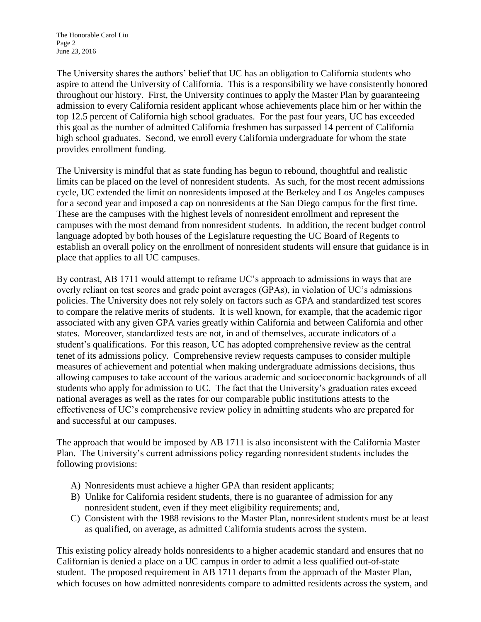The University shares the authors' belief that UC has an obligation to California students who aspire to attend the University of California. This is a responsibility we have consistently honored throughout our history. First, the University continues to apply the Master Plan by guaranteeing admission to every California resident applicant whose achievements place him or her within the top 12.5 percent of California high school graduates. For the past four years, UC has exceeded this goal as the number of admitted California freshmen has surpassed 14 percent of California high school graduates. Second, we enroll every California undergraduate for whom the state provides enrollment funding.

The University is mindful that as state funding has begun to rebound, thoughtful and realistic limits can be placed on the level of nonresident students. As such, for the most recent admissions cycle, UC extended the limit on nonresidents imposed at the Berkeley and Los Angeles campuses for a second year and imposed a cap on nonresidents at the San Diego campus for the first time. These are the campuses with the highest levels of nonresident enrollment and represent the campuses with the most demand from nonresident students. In addition, the recent budget control language adopted by both houses of the Legislature requesting the UC Board of Regents to establish an overall policy on the enrollment of nonresident students will ensure that guidance is in place that applies to all UC campuses.

By contrast, AB 1711 would attempt to reframe UC's approach to admissions in ways that are overly reliant on test scores and grade point averages (GPAs), in violation of UC's admissions policies. The University does not rely solely on factors such as GPA and standardized test scores to compare the relative merits of students. It is well known, for example, that the academic rigor associated with any given GPA varies greatly within California and between California and other states. Moreover, standardized tests are not, in and of themselves, accurate indicators of a student's qualifications. For this reason, UC has adopted comprehensive review as the central tenet of its admissions policy. Comprehensive review requests campuses to consider multiple measures of achievement and potential when making undergraduate admissions decisions, thus allowing campuses to take account of the various academic and socioeconomic backgrounds of all students who apply for admission to UC. The fact that the University's graduation rates exceed national averages as well as the rates for our comparable public institutions attests to the effectiveness of UC's comprehensive review policy in admitting students who are prepared for and successful at our campuses.

The approach that would be imposed by AB 1711 is also inconsistent with the California Master Plan. The University's current admissions policy regarding nonresident students includes the following provisions:

- A) Nonresidents must achieve a higher GPA than resident applicants;
- B) Unlike for California resident students, there is no guarantee of admission for any nonresident student, even if they meet eligibility requirements; and,
- C) Consistent with the 1988 revisions to the Master Plan, nonresident students must be at least as qualified, on average, as admitted California students across the system.

This existing policy already holds nonresidents to a higher academic standard and ensures that no Californian is denied a place on a UC campus in order to admit a less qualified out-of-state student. The proposed requirement in AB 1711 departs from the approach of the Master Plan, which focuses on how admitted nonresidents compare to admitted residents across the system, and